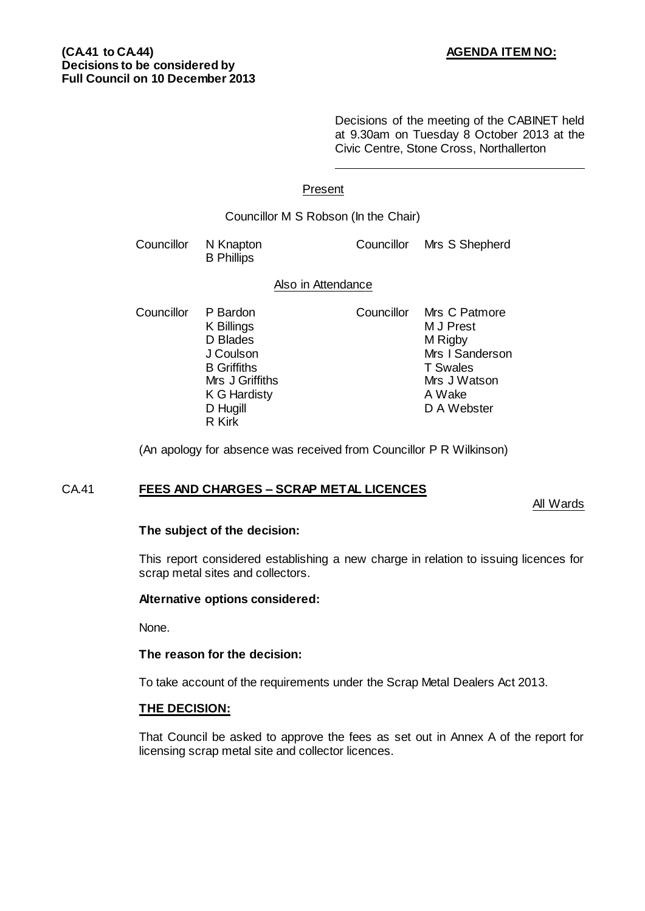Decisions of the meeting of the CABINET held at 9.30am on Tuesday 8 October 2013 at the Civic Centre, Stone Cross, Northallerton

# Present

## Councillor M S Robson (In the Chair)

Councillor N Knapton Councillor Mrs S Shepherd B Phillips

#### Also in Attendance

Councillor P Bardon Councillor Mrs C Patmore<br>K Billings M J Prest K Billings K G Hardisty R Kirk

D Blades M Rigby J Coulson Mrs I Sanderson B Griffiths **T** Swales<br>Mrs J Griffiths **T** Swales Mrs J Griffiths Mrs J W<br>K G Hardisty Mrs A Wake D Hugill D A Webster

(An apology for absence was received from Councillor P R Wilkinson)

# CA.41 **FEES AND CHARGES – SCRAP METAL LICENCES**

#### All Wards

#### **The subject of the decision:**

This report considered establishing a new charge in relation to issuing licences for scrap metal sites and collectors.

# **Alternative options considered:**

None.

#### **The reason for the decision:**

To take account of the requirements under the Scrap Metal Dealers Act 2013.

#### **THE DECISION:**

That Council be asked to approve the fees as set out in Annex A of the report for licensing scrap metal site and collector licences.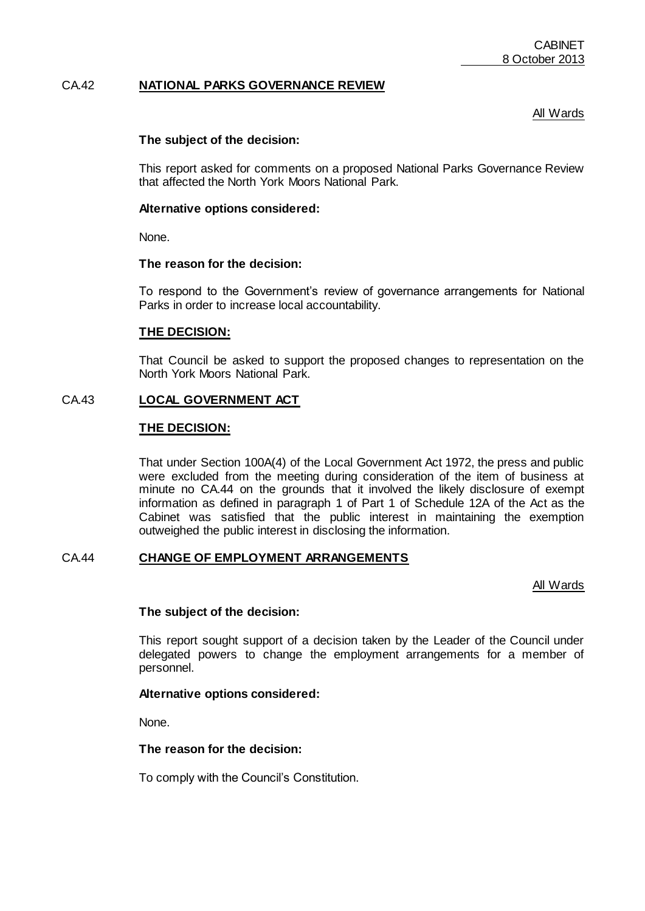## CA.42 **NATIONAL PARKS GOVERNANCE REVIEW**

## All Wards

#### **The subject of the decision:**

This report asked for comments on a proposed National Parks Governance Review that affected the North York Moors National Park.

#### **Alternative options considered:**

None.

#### **The reason for the decision:**

To respond to the Government's review of governance arrangements for National Parks in order to increase local accountability.

#### **THE DECISION:**

That Council be asked to support the proposed changes to representation on the North York Moors National Park.

# CA.43 **LOCAL GOVERNMENT ACT**

## **THE DECISION:**

That under Section 100A(4) of the Local Government Act 1972, the press and public were excluded from the meeting during consideration of the item of business at minute no CA.44 on the grounds that it involved the likely disclosure of exempt information as defined in paragraph 1 of Part 1 of Schedule 12A of the Act as the Cabinet was satisfied that the public interest in maintaining the exemption outweighed the public interest in disclosing the information.

#### CA.44 **CHANGE OF EMPLOYMENT ARRANGEMENTS**

All Wards

#### **The subject of the decision:**

This report sought support of a decision taken by the Leader of the Council under delegated powers to change the employment arrangements for a member of personnel.

#### **Alternative options considered:**

None.

#### **The reason for the decision:**

To comply with the Council's Constitution.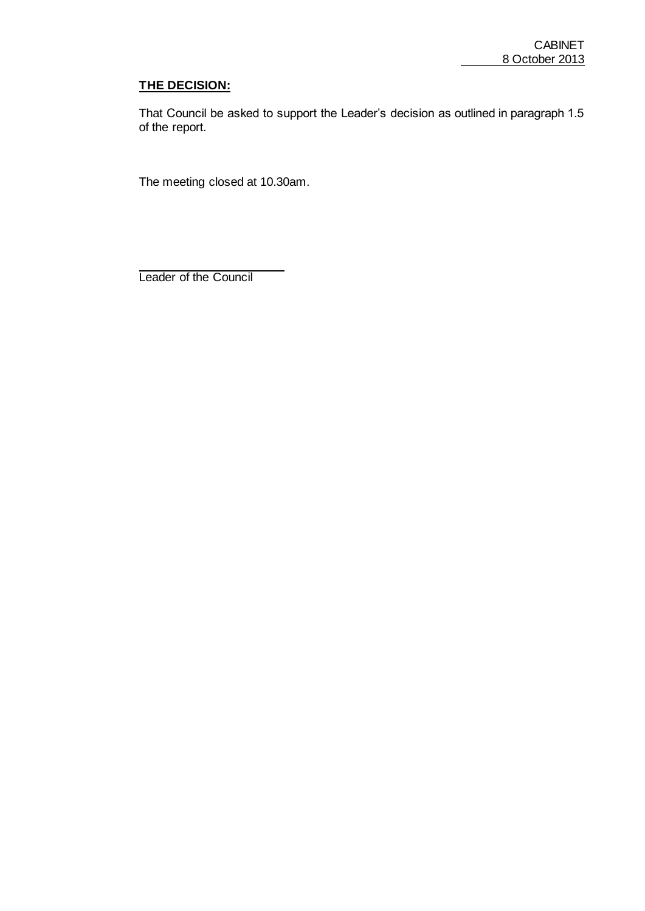# **THE DECISION:**

That Council be asked to support the Leader's decision as outlined in paragraph 1.5 of the report.

The meeting closed at 10.30am.

Leader of the Council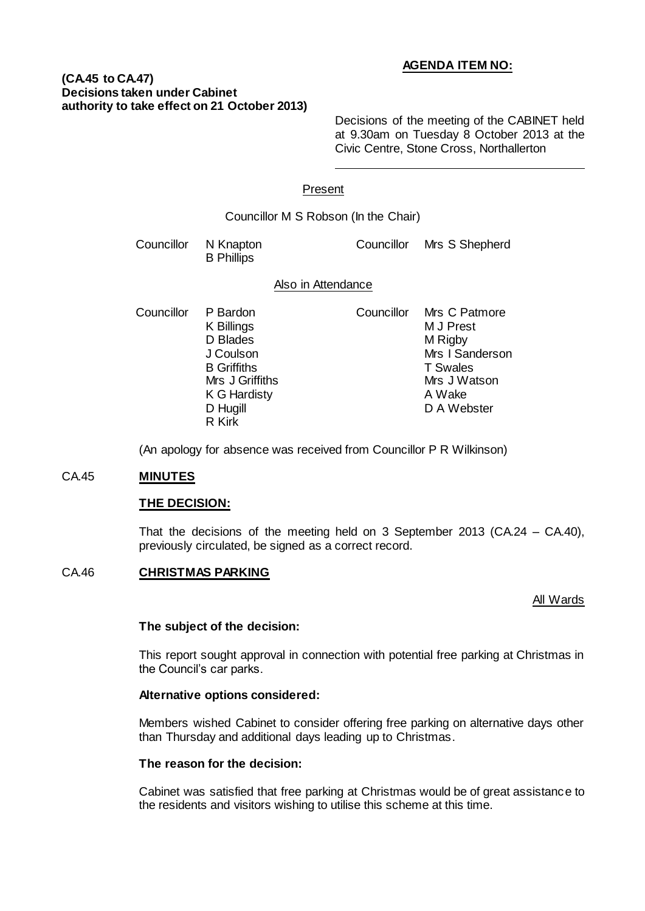# **AGENDA ITEM NO:**

## **(CA.45 to CA.47) Decisions taken under Cabinet authority to take effect on 21 October 2013)**

Decisions of the meeting of the CABINET held at 9.30am on Tuesday 8 October 2013 at the Civic Centre, Stone Cross, Northallerton

## Present

| Councillor M S Robson (In the Chair) |                                                                                          |            |                                                                                             |
|--------------------------------------|------------------------------------------------------------------------------------------|------------|---------------------------------------------------------------------------------------------|
| Councillor                           | N Knapton<br><b>B</b> Phillips                                                           | Councillor | Mrs S Shepherd                                                                              |
| Also in Attendance                   |                                                                                          |            |                                                                                             |
| Councillor                           | P Bardon<br>K Billings<br>D Blades<br>J Coulson<br><b>B</b> Griffiths<br>Mrs J Griffiths | Councillor | Mrs C Patmore<br>M J Prest<br>M Rigby<br>Mrs I Sanderson<br><b>T</b> Swales<br>Mrs J Watson |

K G Hardisty **A Wake** D Hugill D A Webster

(An apology for absence was received from Councillor P R Wilkinson)

#### CA.45 **MINUTES**

#### **THE DECISION:**

That the decisions of the meeting held on 3 September 2013 (CA.24 – CA.40), previously circulated, be signed as a correct record.

#### CA.46 **CHRISTMAS PARKING**

#### All Wards

#### **The subject of the decision:**

R Kirk

This report sought approval in connection with potential free parking at Christmas in the Council's car parks.

#### **Alternative options considered:**

Members wished Cabinet to consider offering free parking on alternative days other than Thursday and additional days leading up to Christmas.

## **The reason for the decision:**

Cabinet was satisfied that free parking at Christmas would be of great assistance to the residents and visitors wishing to utilise this scheme at this time.